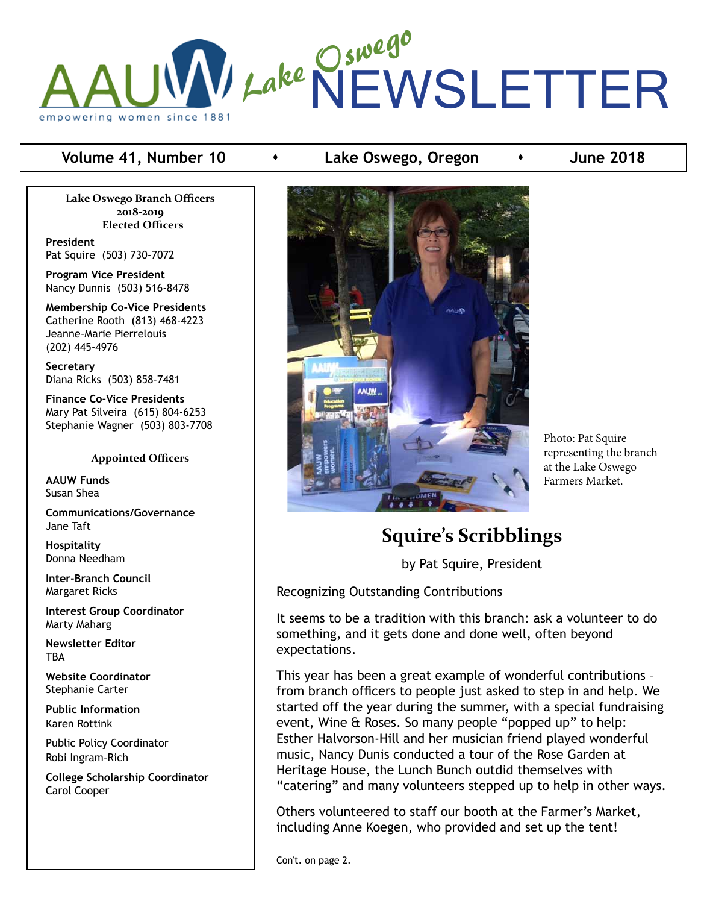## Lake Oswego NEWSLETTER empowering women since 1881

L**ake Oswego Branch Officers 2018-2019 Elected Officers**

**President** Pat Squire (503) 730-7072

**Program Vice President** Nancy Dunnis (503) 516-8478

**Membership Co-Vice Presidents** Catherine Rooth (813) 468-4223 Jeanne-Marie Pierrelouis (202) 445-4976

**Secretary** Diana Ricks (503) 858-7481

**Finance Co-Vice Presidents** Mary Pat Silveira (615) 804-6253 Stephanie Wagner (503) 803-7708

#### **Appointed Officers**

**AAUW Funds** Susan Shea

**Communications/Governance** Jane Taft

**Hospitality** Donna Needham

**Inter-Branch Council** Margaret Ricks

**Interest Group Coordinator** Marty Maharg

**Newsletter Editor TBA** 

**Website Coordinator** Stephanie Carter

**Public Information** Karen Rottink

Public Policy Coordinator Robi Ingram-Rich

**College Scholarship Coordinator** Carol Cooper

#### **Volume 41, Number 10**  $\longrightarrow$  Lake Oswego, Oregon  $\longrightarrow$  June 2018



Photo: Pat Squire representing the branch at the Lake Oswego Farmers Market.

## **Squire's Scribblings**

by Pat Squire, President

Recognizing Outstanding Contributions

It seems to be a tradition with this branch: ask a volunteer to do something, and it gets done and done well, often beyond expectations.

This year has been a great example of wonderful contributions – from branch officers to people just asked to step in and help. We started off the year during the summer, with a special fundraising event, Wine & Roses. So many people "popped up" to help: Esther Halvorson-Hill and her musician friend played wonderful music, Nancy Dunis conducted a tour of the Rose Garden at Heritage House, the Lunch Bunch outdid themselves with "catering" and many volunteers stepped up to help in other ways.

Others volunteered to staff our booth at the Farmer's Market, including Anne Koegen, who provided and set up the tent!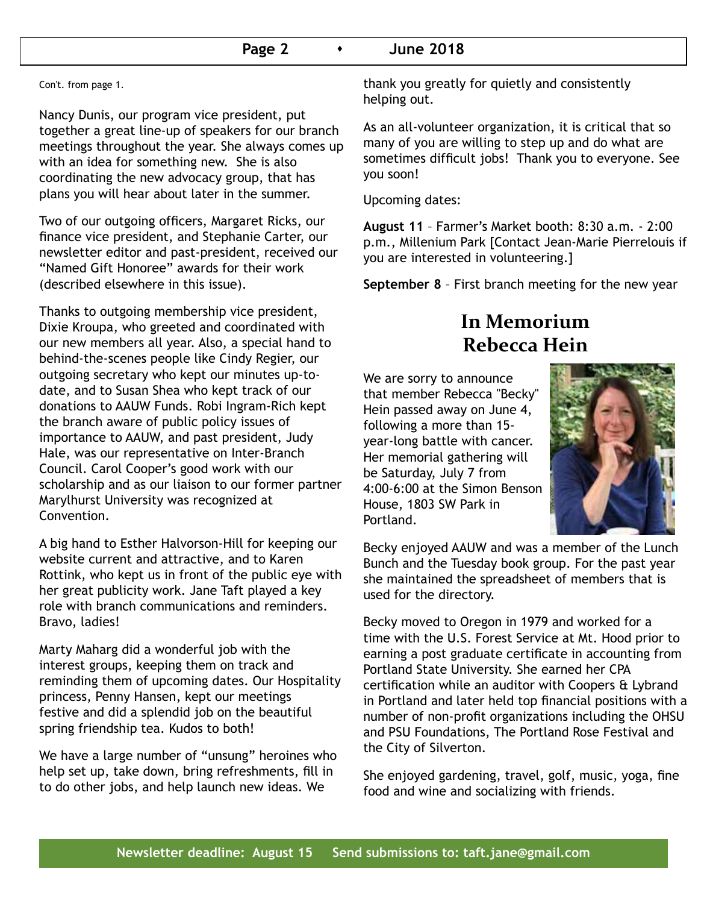#### **Page 2 b 1 June 2018**

Con't. from page 1.

Nancy Dunis, our program vice president, put together a great line-up of speakers for our branch meetings throughout the year. She always comes up with an idea for something new. She is also coordinating the new advocacy group, that has plans you will hear about later in the summer.

Two of our outgoing officers, Margaret Ricks, our finance vice president, and Stephanie Carter, our newsletter editor and past-president, received our "Named Gift Honoree" awards for their work (described elsewhere in this issue).

Thanks to outgoing membership vice president, Dixie Kroupa, who greeted and coordinated with our new members all year. Also, a special hand to behind-the-scenes people like Cindy Regier, our outgoing secretary who kept our minutes up-todate, and to Susan Shea who kept track of our donations to AAUW Funds. Robi Ingram-Rich kept the branch aware of public policy issues of importance to AAUW, and past president, Judy Hale, was our representative on Inter-Branch Council. Carol Cooper's good work with our scholarship and as our liaison to our former partner Marylhurst University was recognized at Convention.

A big hand to Esther Halvorson-Hill for keeping our website current and attractive, and to Karen Rottink, who kept us in front of the public eye with her great publicity work. Jane Taft played a key role with branch communications and reminders. Bravo, ladies!

Marty Maharg did a wonderful job with the interest groups, keeping them on track and reminding them of upcoming dates. Our Hospitality princess, Penny Hansen, kept our meetings festive and did a splendid job on the beautiful spring friendship tea. Kudos to both!

We have a large number of "unsung" heroines who help set up, take down, bring refreshments, fill in to do other jobs, and help launch new ideas. We

thank you greatly for quietly and consistently helping out.

As an all-volunteer organization, it is critical that so many of you are willing to step up and do what are sometimes difficult jobs! Thank you to everyone. See you soon!

Upcoming dates:

**August 11** – Farmer's Market booth: 8:30 a.m. - 2:00 p.m., Millenium Park [Contact Jean-Marie Pierrelouis if you are interested in volunteering.]

**September 8** – First branch meeting for the new year

## **In Memorium Rebecca Hein**

We are sorry to announce that member Rebecca "Becky" Hein passed away on June 4, following a more than 15 year-long battle with cancer. Her memorial gathering will be Saturday, July 7 from 4:00-6:00 at the Simon Benson House, 1803 SW Park in Portland.



Becky enjoyed AAUW and was a member of the Lunch Bunch and the Tuesday book group. For the past year she maintained the spreadsheet of members that is used for the directory.

Becky moved to Oregon in 1979 and worked for a time with the U.S. Forest Service at Mt. Hood prior to earning a post graduate certificate in accounting from Portland State University. She earned her CPA certification while an auditor with Coopers & Lybrand in Portland and later held top financial positions with a number of non-profit organizations including the OHSU and PSU Foundations, The Portland Rose Festival and the City of Silverton.

She enjoyed gardening, travel, golf, music, yoga, fine food and wine and socializing with friends.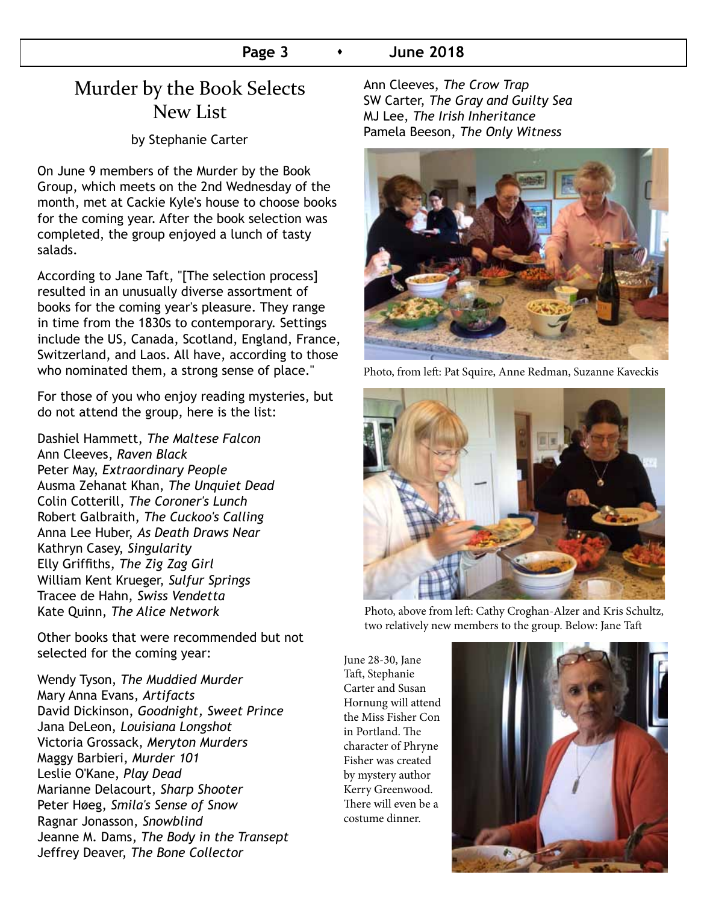#### **Page 3 •** June 2018

## Murder by the Book Selects New List

by Stephanie Carter

On June 9 members of the Murder by the Book Group, which meets on the 2nd Wednesday of the month, met at Cackie Kyle's house to choose books for the coming year. After the book selection was completed, the group enjoyed a lunch of tasty salads.

According to Jane Taft, "[The selection process] resulted in an unusually diverse assortment of books for the coming year's pleasure. They range in time from the 1830s to contemporary. Settings include the US, Canada, Scotland, England, France, Switzerland, and Laos. All have, according to those who nominated them, a strong sense of place."

For those of you who enjoy reading mysteries, but do not attend the group, here is the list:

Dashiel Hammett, *The Maltese Falcon* Ann Cleeves, *Raven Black* Peter May, *Extraordinary People* Ausma Zehanat Khan, *The Unquiet Dead* Colin Cotterill, *The Coroner's Lunch* Robert Galbraith, *The Cuckoo's Calling* Anna Lee Huber, *As Death Draws Near* Kathryn Casey, *Singularity* Elly Griffiths, *The Zig Zag Girl* William Kent Krueger, *Sulfur Springs* Tracee de Hahn, *Swiss Vendetta* Kate Quinn, *The Alice Network*

Other books that were recommended but not selected for the coming year:

Wendy Tyson, *The Muddied Murder* Mary Anna Evans, *Artifacts* David Dickinson, *Goodnight, Sweet Prince* Jana DeLeon, *Louisiana Longshot* Victoria Grossack, *Meryton Murders* Maggy Barbieri, *Murder 101* Leslie O'Kane, *Play Dead* Marianne Delacourt, *Sharp Shooter* Peter Høeg, *Smila's Sense of Snow* Ragnar Jonasson, *Snowblind* Jeanne M. Dams, *The Body in the Transept* Jeffrey Deaver, *The Bone Collector*

Ann Cleeves, *The Crow Trap* SW Carter, *The Gray and Guilty Sea* MJ Lee, *The Irish Inheritance* Pamela Beeson, *The Only Witness*



Photo, from left: Pat Squire, Anne Redman, Suzanne Kaveckis



Photo, above from left: Cathy Croghan-Alzer and Kris Schultz, two relatively new members to the group. Below: Jane Taft

June 28-30, Jane Taft, Stephanie Carter and Susan Hornung will attend the Miss Fisher Con in Portland. The character of Phryne Fisher was created by mystery author Kerry Greenwood. There will even be a costume dinner.

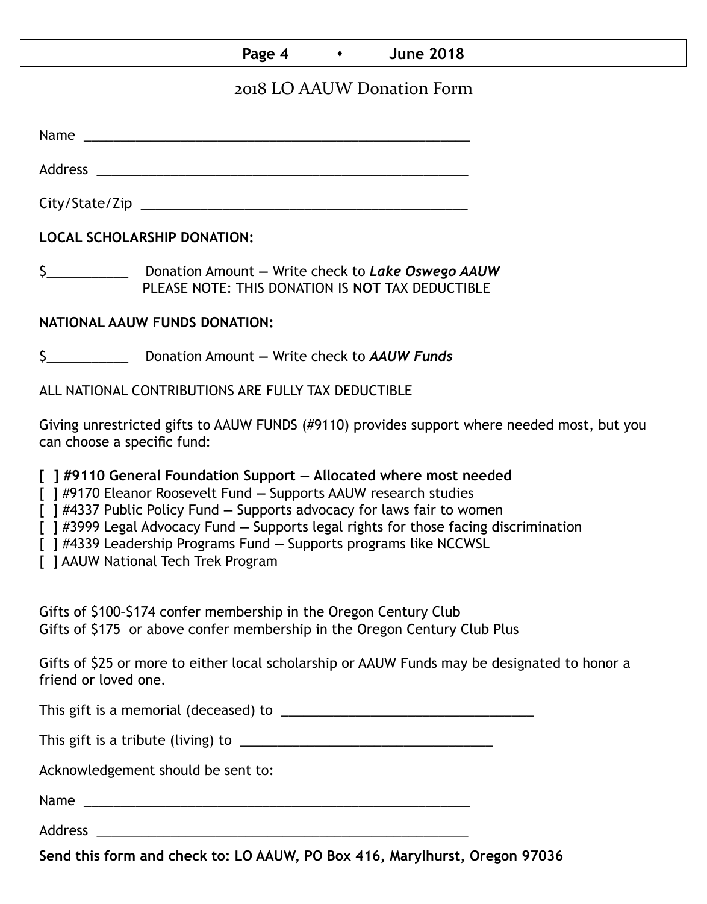#### **Page 4 b 1 June 2018**

### 2018 LO AAUW Donation Form

Name was also as a set of  $\sim$  200  $\mu$  m  $\sim$  200  $\mu$  m  $\sim$  200  $\mu$  m  $\sim$  200  $\mu$  m  $\sim$  200  $\mu$ 

Address \_\_\_\_\_\_\_\_\_\_\_\_\_\_\_\_\_\_\_\_\_\_\_\_\_\_\_\_\_\_\_\_\_\_\_\_\_\_\_\_\_\_\_\_\_\_\_\_\_\_

City/State/Zip \_\_\_\_\_\_\_\_\_\_\_\_\_\_\_\_\_\_\_\_\_\_\_\_\_\_\_\_\_\_\_\_\_\_\_\_\_\_\_\_\_\_\_\_

**LOCAL SCHOLARSHIP DONATION:**

\$\_\_\_\_\_\_\_\_\_\_\_ Donation Amount **—** Write check to *Lake Oswego AAUW* PLEASE NOTE: THIS DONATION IS **NOT** TAX DEDUCTIBLE

#### **NATIONAL AAUW FUNDS DONATION:**

\$\_\_\_\_\_\_\_\_\_\_\_ Donation Amount **—** Write check to *AAUW Funds*

ALL NATIONAL CONTRIBUTIONS ARE FULLY TAX DEDUCTIBLE

Giving unrestricted gifts to AAUW FUNDS (#9110) provides support where needed most, but you can choose a specific fund:

**[ ] #9110 General Foundation Support — Allocated where most needed** 

[ ] #9170 Eleanor Roosevelt Fund **—** Supports AAUW research studies

[ ] #4337 Public Policy Fund **—** Supports advocacy for laws fair to women

[ ] #3999 Legal Advocacy Fund **—** Supports legal rights for those facing discrimination

[ ] #4339 Leadership Programs Fund **—** Supports programs like NCCWSL

[ ] AAUW National Tech Trek Program

Gifts of \$100–\$174 confer membership in the Oregon Century Club Gifts of \$175 or above confer membership in the Oregon Century Club Plus

Gifts of \$25 or more to either local scholarship or AAUW Funds may be designated to honor a friend or loved one.

This gift is a memorial (deceased) to \_\_\_\_\_\_\_\_\_\_\_\_\_\_\_\_\_\_\_\_\_\_\_\_\_\_\_\_\_\_\_\_\_\_

This gift is a tribute (living) to \_\_\_\_\_\_\_\_\_\_\_\_\_\_\_\_\_\_\_\_\_\_\_\_\_\_\_\_\_\_\_\_\_\_

Acknowledgement should be sent to:

Name \_\_\_\_\_\_\_\_\_\_\_\_\_\_\_\_\_\_\_\_\_\_\_\_\_\_\_\_\_\_\_\_\_\_\_\_\_\_\_\_\_\_\_\_\_\_\_\_\_\_\_\_

Address \_\_\_\_\_\_\_\_\_\_\_\_\_\_\_\_\_\_\_\_\_\_\_\_\_\_\_\_\_\_\_\_\_\_\_\_\_\_\_\_\_\_\_\_\_\_\_\_\_\_

**Send this form and check to: LO AAUW, PO Box 416, Marylhurst, Oregon 97036**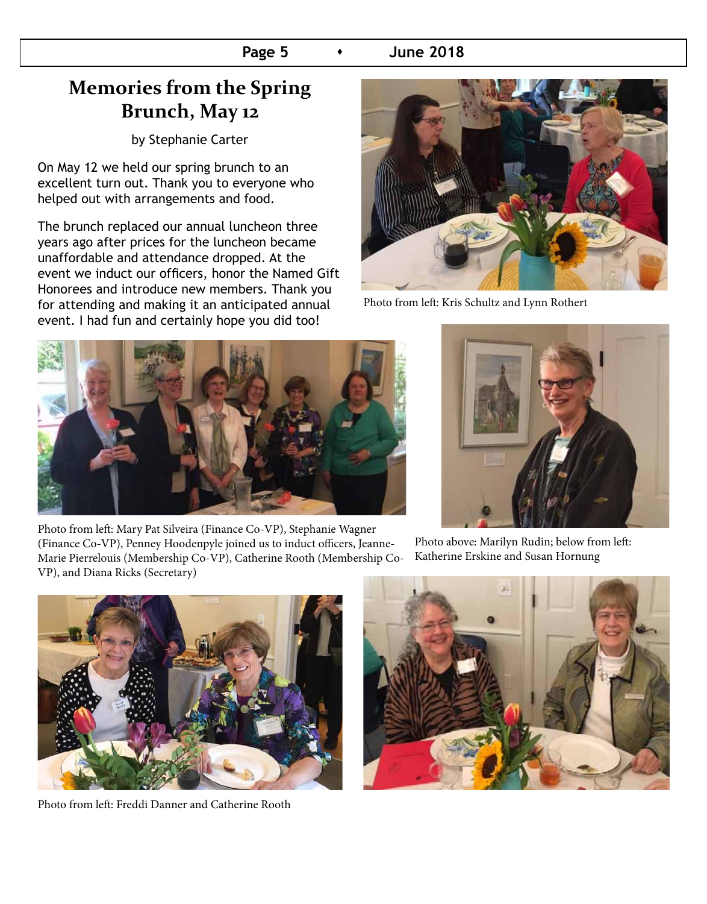## **Memories from the Spring Brunch, May 12**

by Stephanie Carter

On May 12 we held our spring brunch to an excellent turn out. Thank you to everyone who helped out with arrangements and food.

The brunch replaced our annual luncheon three years ago after prices for the luncheon became unaffordable and attendance dropped. At the event we induct our officers, honor the Named Gift Honorees and introduce new members. Thank you for attending and making it an anticipated annual event. I had fun and certainly hope you did too!



Photo from left: Kris Schultz and Lynn Rothert



Photo from left: Mary Pat Silveira (Finance Co-VP), Stephanie Wagner (Finance Co-VP), Penney Hoodenpyle joined us to induct officers, Jeanne-Marie Pierrelouis (Membership Co-VP), Catherine Rooth (Membership Co-VP), and Diana Ricks (Secretary)

Photo above: Marilyn Rudin; below from left: Katherine Erskine and Susan Hornung



Photo from left: Freddi Danner and Catherine Rooth

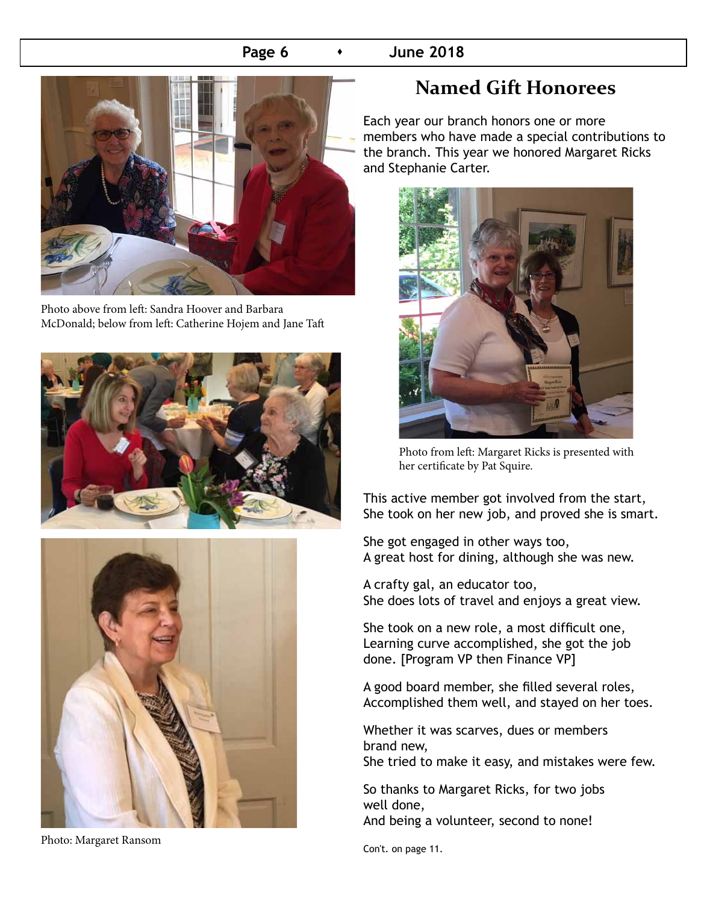#### **Page 6**  $\longrightarrow$  June 2018



Photo above from left: Sandra Hoover and Barbara McDonald; below from left: Catherine Hojem and Jane Taft





Photo: Margaret Ransom

## **Named Gift Honorees**

Each year our branch honors one or more members who have made a special contributions to the branch. This year we honored Margaret Ricks and Stephanie Carter.



Photo from left: Margaret Ricks is presented with her certificate by Pat Squire.

This active member got involved from the start, She took on her new job, and proved she is smart.

She got engaged in other ways too, A great host for dining, although she was new.

A crafty gal, an educator too, She does lots of travel and enjoys a great view.

She took on a new role, a most difficult one, Learning curve accomplished, she got the job done. [Program VP then Finance VP]

A good board member, she filled several roles, Accomplished them well, and stayed on her toes.

Whether it was scarves, dues or members brand new,

She tried to make it easy, and mistakes were few.

So thanks to Margaret Ricks, for two jobs well done, And being a volunteer, second to none!

Con't. on page 11.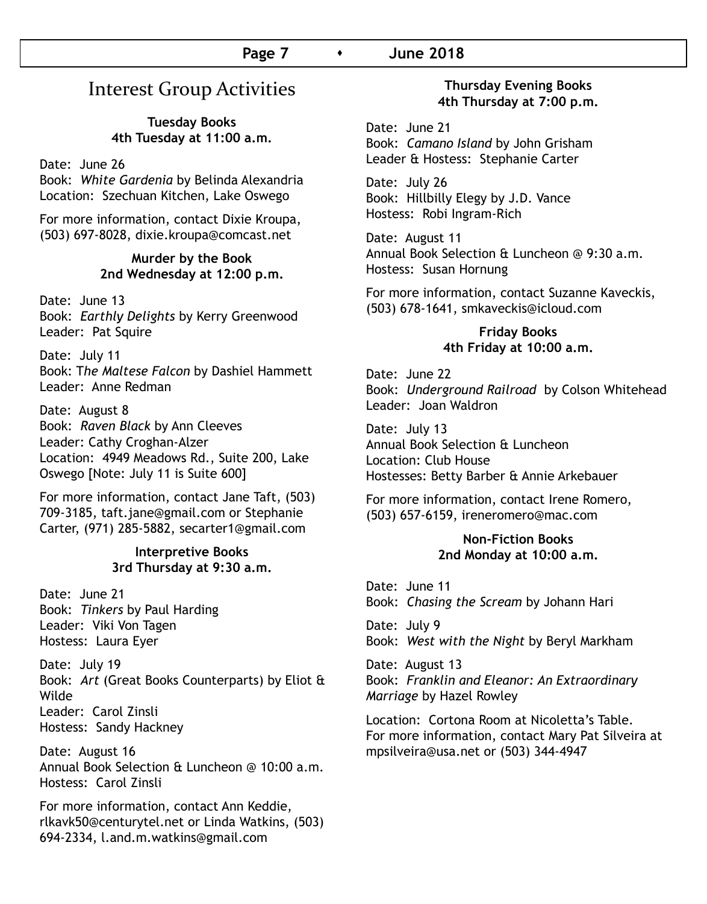#### **Page 7** s **June 2018**

## Interest Group Activities

#### **Tuesday Books 4th Tuesday at 11:00 a.m.**

Date: June 26

Book: *White Gardenia* by Belinda Alexandria Location: Szechuan Kitchen, Lake Oswego

For more information, contact Dixie Kroupa, (503) 697-8028, dixie.kroupa@comcast.net

#### **Murder by the Book 2nd Wednesday at 12:00 p.m.**

Date: June 13 Book: *Earthly Delights* by Kerry Greenwood Leader: Pat Squire

Date: July 11 Book: T*he Maltese Falcon* by Dashiel Hammett Leader: Anne Redman

Date: August 8 Book: *Raven Black* by Ann Cleeves Leader: Cathy Croghan-Alzer Location: 4949 Meadows Rd., Suite 200, Lake Oswego [Note: July 11 is Suite 600]

For more information, contact Jane Taft, (503) 709-3185, taft.jane@gmail.com or Stephanie Carter, (971) 285-5882, secarter1@gmail.com

#### **Interpretive Books 3rd Thursday at 9:30 a.m.**

Date: June 21 Book: *Tinkers* by Paul Harding Leader: Viki Von Tagen Hostess: Laura Eyer

Date: July 19 Book: *Art* (Great Books Counterparts) by Eliot & Wilde Leader: Carol Zinsli Hostess: Sandy Hackney

Date: August 16 Annual Book Selection & Luncheon @ 10:00 a.m. Hostess: Carol Zinsli

For more information, contact Ann Keddie, rlkavk50@centurytel.net or Linda Watkins, (503) 694-2334, l.and.m.watkins@gmail.com

#### **Thursday Evening Books 4th Thursday at 7:00 p.m.**

Date: June 21 Book: *Camano Island* by John Grisham Leader & Hostess: Stephanie Carter

Date: July 26 Book: Hillbilly Elegy by J.D. Vance Hostess: Robi Ingram-Rich

Date: August 11 Annual Book Selection & Luncheon @ 9:30 a.m. Hostess: Susan Hornung

For more information, contact Suzanne Kaveckis, (503) 678-1641, smkaveckis@icloud.com

#### **Friday Books 4th Friday at 10:00 a.m.**

Date: June 22 Book: *Underground Railroad* by Colson Whitehead Leader: Joan Waldron

Date: July 13 Annual Book Selection & Luncheon Location: Club House Hostesses: Betty Barber & Annie Arkebauer

For more information, contact Irene Romero, (503) 657-6159, ireneromero@mac.com

#### **Non-Fiction Books 2nd Monday at 10:00 a.m.**

Date: June 11 Book: *Chasing the Scream* by Johann Hari

Date: July 9 Book: *West with the Night* by Beryl Markham

Date: August 13 Book: *Franklin and Eleanor: An Extraordinary Marriage* by Hazel Rowley

Location: Cortona Room at Nicoletta's Table. For more information, contact Mary Pat Silveira at mpsilveira@usa.net or (503) 344-4947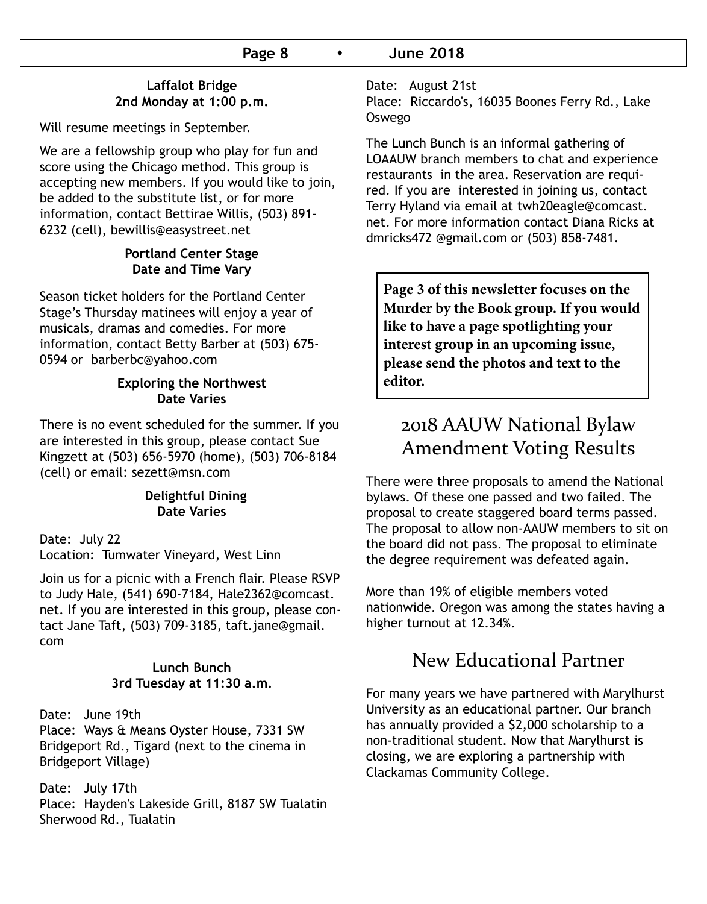#### **Laffalot Bridge 2nd Monday at 1:00 p.m.**

Will resume meetings in September.

We are a fellowship group who play for fun and score using the Chicago method. This group is accepting new members. If you would like to join, be added to the substitute list, or for more information, contact Bettirae Willis, (503) 891- 6232 (cell), bewillis@easystreet.net

#### **Portland Center Stage Date and Time Vary**

Season ticket holders for the Portland Center Stage's Thursday matinees will enjoy a year of musicals, dramas and comedies. For more information, contact Betty Barber at (503) 675- 0594 or barberbc@yahoo.com

#### **Exploring the Northwest Date Varies**

There is no event scheduled for the summer. If you are interested in this group, please contact Sue Kingzett at (503) 656-5970 (home), (503) 706-8184 (cell) or email: sezett@msn.com

#### **Delightful Dining Date Varies**

Date: July 22 Location: Tumwater Vineyard, West Linn

Join us for a picnic with a French flair. Please RSVP to Judy Hale, (541) 690-7184, Hale2362@comcast. net. If you are interested in this group, please contact Jane Taft, (503) 709-3185, taft.jane@gmail. com

#### **Lunch Bunch 3rd Tuesday at 11:30 a.m.**

Date: June 19th Place: Ways & Means Oyster House, 7331 SW Bridgeport Rd., Tigard (next to the cinema in Bridgeport Village)

Date: July 17th Place: Hayden's Lakeside Grill, 8187 SW Tualatin Sherwood Rd., Tualatin

Date: August 21st

Place: Riccardo's, 16035 Boones Ferry Rd., Lake Oswego

The Lunch Bunch is an informal gathering of LOAAUW branch members to chat and experience restaurants in the area. Reservation are required. If you are interested in joining us, contact Terry Hyland via email at twh20eagle@comcast. net. For more information contact Diana Ricks at dmricks472 @gmail.com or (503) 858-7481.

**Page 3 of this newsletter focuses on the Murder by the Book group. If you would like to have a page spotlighting your interest group in an upcoming issue, please send the photos and text to the editor.**

## 2018 AAUW National Bylaw Amendment Voting Results

There were three proposals to amend the National bylaws. Of these one passed and two failed. The proposal to create staggered board terms passed. The proposal to allow non-AAUW members to sit on the board did not pass. The proposal to eliminate the degree requirement was defeated again.

More than 19% of eligible members voted nationwide. Oregon was among the states having a higher turnout at 12.34%.

## New Educational Partner

For many years we have partnered with Marylhurst University as an educational partner. Our branch has annually provided a \$2,000 scholarship to a non-traditional student. Now that Marylhurst is closing, we are exploring a partnership with Clackamas Community College.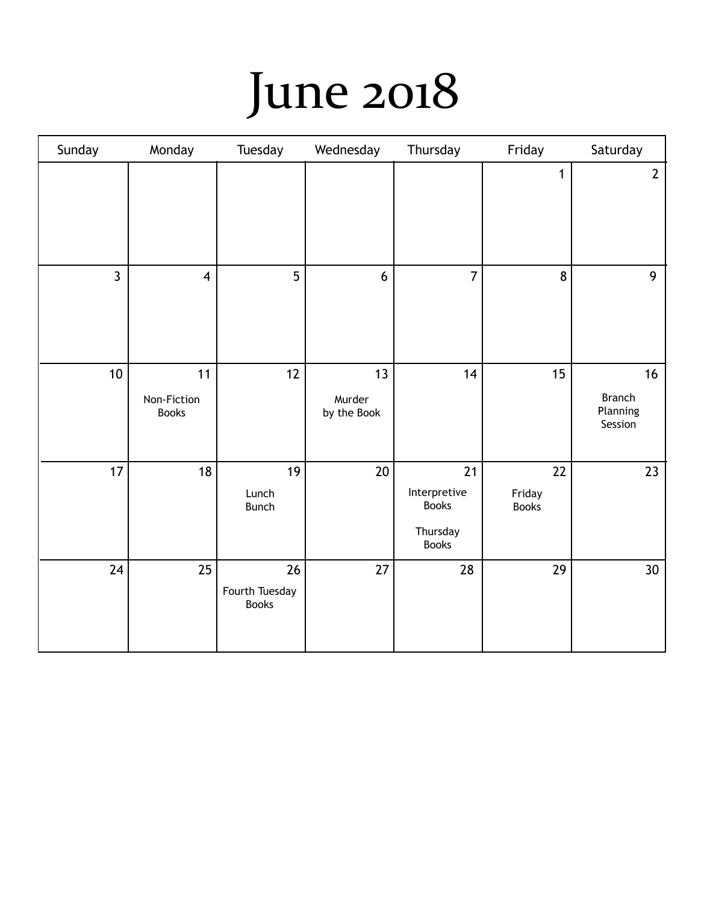# June 2018

| Sunday         | Monday                            | Tuesday                              | Wednesday                   | Thursday                                                       | Friday                       | Saturday                                   |
|----------------|-----------------------------------|--------------------------------------|-----------------------------|----------------------------------------------------------------|------------------------------|--------------------------------------------|
|                |                                   |                                      |                             |                                                                | $\mathbf{1}$                 | $\mathbf{2}$                               |
| $\overline{3}$ | $\overline{4}$                    | 5                                    | $6\phantom{1}6$             | $\overline{7}$                                                 | 8                            | 9                                          |
| 10             | 11<br>Non-Fiction<br><b>Books</b> | 12                                   | 13<br>Murder<br>by the Book | 14                                                             | 15                           | 16<br><b>Branch</b><br>Planning<br>Session |
| 17             | 18                                | 19<br>Lunch<br><b>Bunch</b>          | $20\,$                      | 21<br>Interpretive<br><b>Books</b><br>Thursday<br><b>Books</b> | 22<br>Friday<br><b>Books</b> | 23                                         |
| 24             | 25                                | 26<br>Fourth Tuesday<br><b>Books</b> | 27                          | 28                                                             | 29                           | 30 <sup>°</sup>                            |